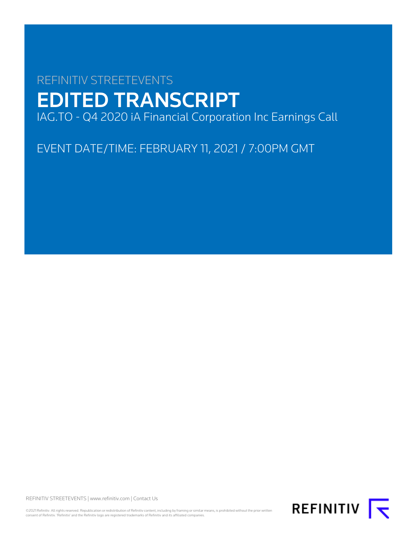# REFINITIV STREETEVENTS EDITED TRANSCRIPT IAG.TO - Q4 2020 iA Financial Corporation Inc Earnings Call

EVENT DATE/TIME: FEBRUARY 11, 2021 / 7:00PM GMT

REFINITIV STREETEVENTS | [www.refinitiv.com](https://www.refinitiv.com/) | [Contact Us](https://www.refinitiv.com/en/contact-us)

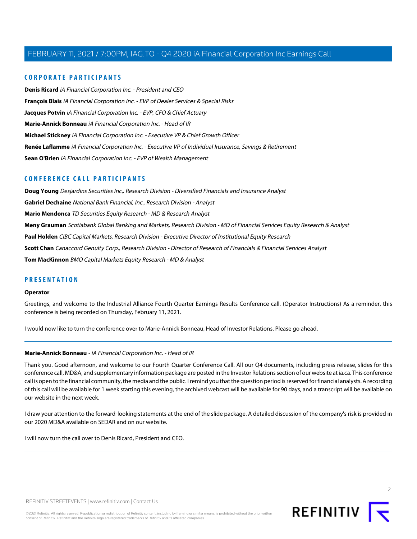# **CORPORATE PARTICIPANTS**

**[Denis Ricard](#page-2-0)** iA Financial Corporation Inc. - President and CEO **[François Blais](#page-8-0)** iA Financial Corporation Inc. - EVP of Dealer Services & Special Risks **[Jacques Potvin](#page-4-0)** iA Financial Corporation Inc. - EVP, CFO & Chief Actuary **[Marie-Annick Bonneau](#page-1-0)** iA Financial Corporation Inc. - Head of IR **[Michael Stickney](#page-3-0)** iA Financial Corporation Inc. - Executive VP & Chief Growth Officer **[Renée Laflamme](#page-12-0)** iA Financial Corporation Inc. - Executive VP of Individual Insurance, Savings & Retirement **[Sean O'Brien](#page-16-0)** iA Financial Corporation Inc. - EVP of Wealth Management

# **CONFERENCE CALL PARTICIPANTS**

**[Doug Young](#page-10-0)** Desjardins Securities Inc., Research Division - Diversified Financials and Insurance Analyst **[Gabriel Dechaine](#page-7-0)** National Bank Financial, Inc., Research Division - Analyst **[Mario Mendonca](#page-12-1)** TD Securities Equity Research - MD & Research Analyst **[Meny Grauman](#page-9-0)** Scotiabank Global Banking and Markets, Research Division - MD of Financial Services Equity Research & Analyst **[Paul Holden](#page-14-0)** CIBC Capital Markets, Research Division - Executive Director of Institutional Equity Research **[Scott Chan](#page-15-0)** Canaccord Genuity Corp., Research Division - Director of Research of Financials & Financial Services Analyst **[Tom MacKinnon](#page-5-0)** BMO Capital Markets Equity Research - MD & Analyst

## **PRESENTATION**

#### **Operator**

Greetings, and welcome to the Industrial Alliance Fourth Quarter Earnings Results Conference call. (Operator Instructions) As a reminder, this conference is being recorded on Thursday, February 11, 2021.

<span id="page-1-0"></span>I would now like to turn the conference over to Marie-Annick Bonneau, Head of Investor Relations. Please go ahead.

#### **Marie-Annick Bonneau** - iA Financial Corporation Inc. - Head of IR

Thank you. Good afternoon, and welcome to our Fourth Quarter Conference Call. All our Q4 documents, including press release, slides for this conference call, MD&A, and supplementary information package are posted in the Investor Relations section of our website at ia.ca. This conference call is open to the financial community, the media and the public. I remind you that the question period is reserved for financial analysts. A recording of this call will be available for 1 week starting this evening, the archived webcast will be available for 90 days, and a transcript will be available on our website in the next week.

I draw your attention to the forward-looking statements at the end of the slide package. A detailed discussion of the company's risk is provided in our 2020 MD&A available on SEDAR and on our website.

I will now turn the call over to Denis Ricard, President and CEO.

 $\supset$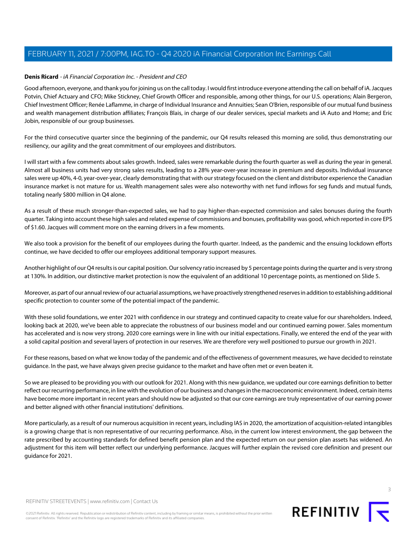# <span id="page-2-0"></span>**Denis Ricard** - iA Financial Corporation Inc. - President and CEO

Good afternoon, everyone, and thank you for joining us on the call today. I would first introduce everyone attending the call on behalf of iA. Jacques Potvin, Chief Actuary and CFO; Mike Stickney, Chief Growth Officer and responsible, among other things, for our U.S. operations; Alain Bergeron, Chief Investment Officer; Renée Laflamme, in charge of Individual Insurance and Annuities; Sean O'Brien, responsible of our mutual fund business and wealth management distribution affiliates; François Blais, in charge of our dealer services, special markets and iA Auto and Home; and Eric Jobin, responsible of our group businesses.

For the third consecutive quarter since the beginning of the pandemic, our Q4 results released this morning are solid, thus demonstrating our resiliency, our agility and the great commitment of our employees and distributors.

I will start with a few comments about sales growth. Indeed, sales were remarkable during the fourth quarter as well as during the year in general. Almost all business units had very strong sales results, leading to a 28% year-over-year increase in premium and deposits. Individual insurance sales were up 40%, 4-0, year-over-year, clearly demonstrating that with our strategy focused on the client and distributor experience the Canadian insurance market is not mature for us. Wealth management sales were also noteworthy with net fund inflows for seg funds and mutual funds, totaling nearly \$800 million in Q4 alone.

As a result of these much stronger-than-expected sales, we had to pay higher-than-expected commission and sales bonuses during the fourth quarter. Taking into account these high sales and related expense of commissions and bonuses, profitability was good, which reported in core EPS of \$1.60. Jacques will comment more on the earning drivers in a few moments.

We also took a provision for the benefit of our employees during the fourth quarter. Indeed, as the pandemic and the ensuing lockdown efforts continue, we have decided to offer our employees additional temporary support measures.

Another highlight of our Q4 results is our capital position. Our solvency ratio increased by 5 percentage points during the quarter and is very strong at 130%. In addition, our distinctive market protection is now the equivalent of an additional 10 percentage points, as mentioned on Slide 5.

Moreover, as part of our annual review of our actuarial assumptions, we have proactively strengthened reserves in addition to establishing additional specific protection to counter some of the potential impact of the pandemic.

With these solid foundations, we enter 2021 with confidence in our strategy and continued capacity to create value for our shareholders. Indeed, looking back at 2020, we've been able to appreciate the robustness of our business model and our continued earning power. Sales momentum has accelerated and is now very strong. 2020 core earnings were in line with our initial expectations. Finally, we entered the end of the year with a solid capital position and several layers of protection in our reserves. We are therefore very well positioned to pursue our growth in 2021.

For these reasons, based on what we know today of the pandemic and of the effectiveness of government measures, we have decided to reinstate guidance. In the past, we have always given precise guidance to the market and have often met or even beaten it.

So we are pleased to be providing you with our outlook for 2021. Along with this new guidance, we updated our core earnings definition to better reflect our recurring performance, in line with the evolution of our business and changes in the macroeconomic environment. Indeed, certain items have become more important in recent years and should now be adjusted so that our core earnings are truly representative of our earning power and better aligned with other financial institutions' definitions.

More particularly, as a result of our numerous acquisition in recent years, including IAS in 2020, the amortization of acquisition-related intangibles is a growing charge that is non representative of our recurring performance. Also, in the current low interest environment, the gap between the rate prescribed by accounting standards for defined benefit pension plan and the expected return on our pension plan assets has widened. An adjustment for this item will better reflect our underlying performance. Jacques will further explain the revised core definition and present our guidance for 2021.

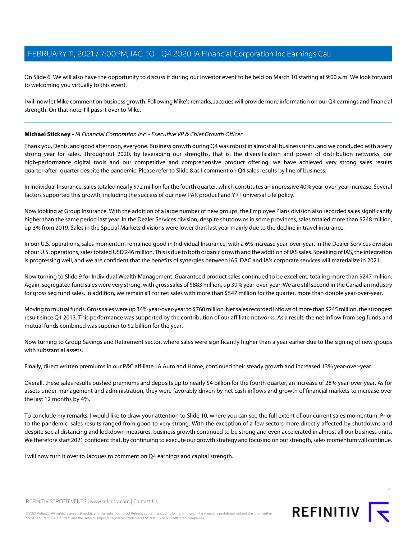On Slide 6. We will also have the opportunity to discuss it during our investor event to be held on March 10 starting at 9:00 a.m. We look forward to welcoming you virtually to this event.

I will now let Mike comment on business growth. Following Mike's remarks, Jacques will provide more information on our Q4 earnings and financial strength. On that note, I'll pass it over to Mike.

## <span id="page-3-0"></span>**Michael Stickney** - iA Financial Corporation Inc. - Executive VP & Chief Growth Officer

Thank you, Denis, and good afternoon, everyone. Business growth during Q4 was robust in almost all business units, and we concluded with a very strong year for sales. Throughout 2020, by leveraging our strengths, that is, the diversification and power of distribution networks, our high-performance digital tools and our competitive and comprehensive product offering, we have achieved very strong sales results quarter-after\_quarter despite the pandemic. Please refer to Slide 8 as I comment on Q4 sales results by line of business.

In Individual Insurance, sales totaled nearly \$72 million for the fourth quarter, which constitutes an impressive 40% year-over-year increase. Several factors supported this growth, including the success of our new PAR product and YRT universal Life policy.

Now looking at Group Insurance. With the addition of a large number of new groups, the Employee Plans division also recorded sales significantly higher than the same period last year. In the Dealer Services division, despite shutdowns in some provinces, sales totaled more than \$248 million, up 3% from 2019. Sales in the Special Markets divisions were lower than last year mainly due to the decline in travel insurance.

In our U.S. operations, sales momentum remained good in Individual Insurance, with a 6% increase year-over-year. In the Dealer Services division of our U.S. operations, sales totaled USD 246 million. This is due to both organic growth and the addition of IAS sales. Speaking of IAS, the integration is progressing well, and we are confident that the benefits of synergies between IAS, DAC and iA's corporate services will materialize in 2021.

Now turning to Slide 9 for Individual Wealth Management. Guaranteed product sales continued to be excellent, totaling more than \$247 million. Again, segregated fund sales were very strong, with gross sales of \$883 million, up 39% year-over-year. We are still second in the Canadian industry for gross seg fund sales. In addition, we remain #1 for net sales with more than \$547 million for the quarter, more than double year-over-year.

Moving to mutual funds. Gross sales were up 34% year-over-year to \$760 million. Net sales recorded inflows of more than \$245 million, the strongest result since Q1 2013. This performance was supported by the contribution of our affiliate networks. As a result, the net inflow from seg funds and mutual funds combined was superior to \$2 billion for the year.

Now turning to Group Savings and Retirement sector, where sales were significantly higher than a year earlier due to the signing of new groups with substantial assets.

Finally, direct written premiums in our P&C affiliate, iA Auto and Home, continued their steady growth and increased 13% year-over-year.

Overall, these sales results pushed premiums and deposits up to nearly \$4 billion for the fourth quarter, an increase of 28% year-over-year. As for assets under management and administration, they were favorably driven by net cash inflows and growth of financial markets to increase over the last 12 months by 4%.

To conclude my remarks, I would like to draw your attention to Slide 10, where you can see the full extent of our current sales momentum. Prior to the pandemic, sales results ranged from good to very strong. With the exception of a few sectors more directly affected by shutdowns and despite social distancing and lockdown measures, business growth continued to be strong and even accelerated in almost all our business units. We therefore start 2021 confident that, by continuing to execute our growth strategy and focusing on our strength, sales momentum will continue.

I will now turn it over to Jacques to comment on Q4 earnings and capital strength.



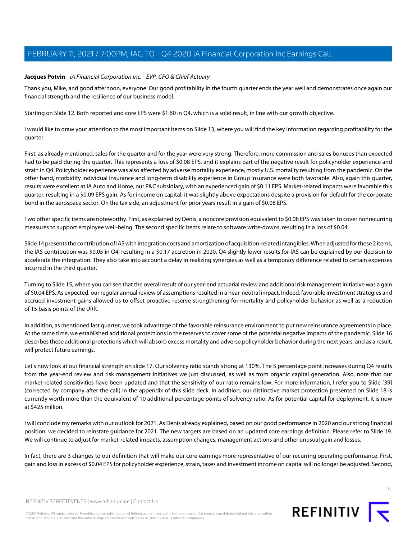# <span id="page-4-0"></span>**Jacques Potvin** - iA Financial Corporation Inc. - EVP, CFO & Chief Actuary

Thank you, Mike, and good afternoon, everyone. Our good profitability in the fourth quarter ends the year well and demonstrates once again our financial strength and the resilience of our business model.

Starting on Slide 12. Both reported and core EPS were \$1.60 in Q4, which is a solid result, in line with our growth objective.

I would like to draw your attention to the most important items on Slide 13, where you will find the key information regarding profitability for the quarter.

First, as already mentioned, sales for the quarter and for the year were very strong. Therefore, more commission and sales bonuses than expected had to be paid during the quarter. This represents a loss of \$0.08 EPS, and it explains part of the negative result for policyholder experience and strain in Q4. Policyholder experience was also affected by adverse mortality experience, mostly U.S. mortality resulting from the pandemic. On the other hand, morbidity Individual Insurance and long-term disability experience in Group Insurance were both favorable. Also, again this quarter, results were excellent at iA Auto and Home, our P&C subsidiary, with an experienced gain of \$0.11 EPS. Market-related impacts were favorable this quarter, resulting in a \$0.09 EPS gain. As for income on capital, it was slightly above expectations despite a provision for default for the corporate bond in the aerospace sector. On the tax side, an adjustment for prior years result in a gain of \$0.08 EPS.

Two other specific items are noteworthy. First, as explained by Denis, a noncore provision equivalent to \$0.08 EPS was taken to cover nonrecurring measures to support employee well-being. The second specific items relate to software write-downs, resulting in a loss of \$0.04.

Slide 14 presents the contribution of IAS with integration costs and amortization of acquisition-related intangibles. When adjusted for these 2 items, the IAS contribution was \$0.05 in Q4, resulting in a \$0.17 accretion in 2020. Q4 slightly lower results for IAS can be explained by our decision to accelerate the integration. They also take into account a delay in realizing synergies as well as a temporary difference related to certain expenses incurred in the third quarter.

Turning to Slide 15, where you can see that the overall result of our year-end actuarial review and additional risk management initiative was a gain of \$0.04 EPS. As expected, our regular annual review of assumptions resulted in a near-neutral impact. Indeed, favorable investment strategies and accrued investment gains allowed us to offset proactive reserve strengthening for mortality and policyholder behavior as well as a reduction of 15 basis points of the URR.

In addition, as mentioned last quarter, we took advantage of the favorable reinsurance environment to put new reinsurance agreements in place. At the same time, we established additional protections in the reserves to cover some of the potential negative impacts of the pandemic. Slide 16 describes these additional protections which will absorb excess mortality and adverse policyholder behavior during the next years, and as a result, will protect future earnings.

Let's now look at our financial strength on slide 17. Our solvency ratio stands strong at 130%. The 5 percentage point increases during Q4 results from the year-end review and risk management initiatives we just discussed, as well as from organic capital generation. Also, note that our market-related sensitivities have been updated and that the sensitivity of our ratio remains low. For more information, I refer you to Slide [39] (corrected by company after the call) in the appendix of this slide deck. In addition, our distinctive market protection presented on Slide 18 is currently worth more than the equivalent of 10 additional percentage points of solvency ratio. As for potential capital for deployment, it is now at \$425 million.

I will conclude my remarks with our outlook for 2021. As Denis already explained, based on our good performance in 2020 and our strong financial position, we decided to reinstate guidance for 2021. The new targets are based on an updated core earnings definition. Please refer to Slide 19. We will continue to adjust for market-related impacts, assumption changes, management actions and other unusual gain and losses.

In fact, there are 3 changes to our definition that will make our core earnings more representative of our recurring operating performance. First, gain and loss in excess of \$0.04 EPS for policyholder experience, strain, taxes and investment income on capital will no longer be adjusted. Second,



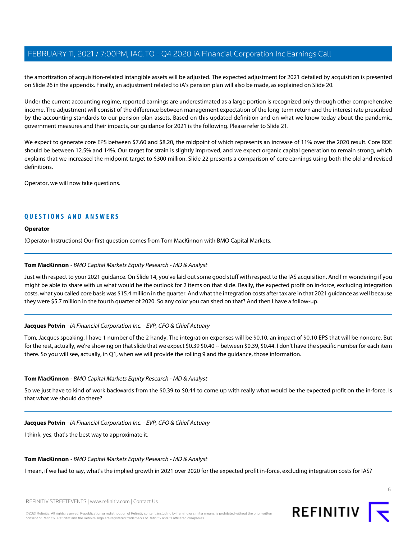the amortization of acquisition-related intangible assets will be adjusted. The expected adjustment for 2021 detailed by acquisition is presented on Slide 26 in the appendix. Finally, an adjustment related to iA's pension plan will also be made, as explained on Slide 20.

Under the current accounting regime, reported earnings are underestimated as a large portion is recognized only through other comprehensive income. The adjustment will consist of the difference between management expectation of the long-term return and the interest rate prescribed by the accounting standards to our pension plan assets. Based on this updated definition and on what we know today about the pandemic, government measures and their impacts, our guidance for 2021 is the following. Please refer to Slide 21.

We expect to generate core EPS between \$7.60 and \$8.20, the midpoint of which represents an increase of 11% over the 2020 result. Core ROE should be between 12.5% and 14%. Our target for strain is slightly improved, and we expect organic capital generation to remain strong, which explains that we increased the midpoint target to \$300 million. Slide 22 presents a comparison of core earnings using both the old and revised definitions.

Operator, we will now take questions.

# **QUESTIONS AND ANSWERS**

#### **Operator**

<span id="page-5-0"></span>(Operator Instructions) Our first question comes from Tom MacKinnon with BMO Capital Markets.

#### **Tom MacKinnon** - BMO Capital Markets Equity Research - MD & Analyst

Just with respect to your 2021 guidance. On Slide 14, you've laid out some good stuff with respect to the IAS acquisition. And I'm wondering if you might be able to share with us what would be the outlook for 2 items on that slide. Really, the expected profit on in-force, excluding integration costs, what you called core basis was \$15.4 million in the quarter. And what the integration costs after tax are in that 2021 guidance as well because they were \$5.7 million in the fourth quarter of 2020. So any color you can shed on that? And then I have a follow-up.

## **Jacques Potvin** - iA Financial Corporation Inc. - EVP, CFO & Chief Actuary

Tom, Jacques speaking. I have 1 number of the 2 handy. The integration expenses will be \$0.10, an impact of \$0.10 EPS that will be noncore. But for the rest, actually, we're showing on that slide that we expect \$0.39 \$0.40 -- between \$0.39, \$0.44. I don't have the specific number for each item there. So you will see, actually, in Q1, when we will provide the rolling 9 and the guidance, those information.

## **Tom MacKinnon** - BMO Capital Markets Equity Research - MD & Analyst

So we just have to kind of work backwards from the \$0.39 to \$0.44 to come up with really what would be the expected profit on the in-force. Is that what we should do there?

## **Jacques Potvin** - iA Financial Corporation Inc. - EVP, CFO & Chief Actuary

I think, yes, that's the best way to approximate it.

#### **Tom MacKinnon** - BMO Capital Markets Equity Research - MD & Analyst

I mean, if we had to say, what's the implied growth in 2021 over 2020 for the expected profit in-force, excluding integration costs for IAS?

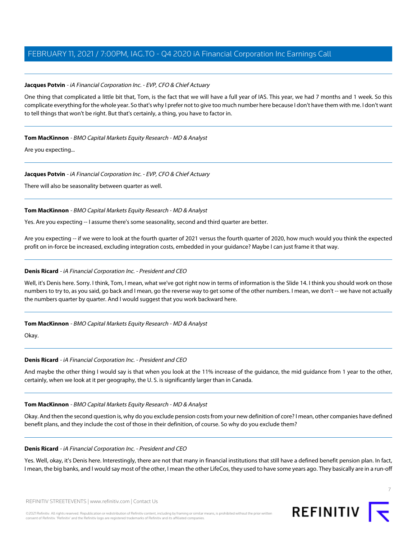# **Jacques Potvin** - iA Financial Corporation Inc. - EVP, CFO & Chief Actuary

One thing that complicated a little bit that, Tom, is the fact that we will have a full year of IAS. This year, we had 7 months and 1 week. So this complicate everything for the whole year. So that's why I prefer not to give too much number here because I don't have them with me. I don't want to tell things that won't be right. But that's certainly, a thing, you have to factor in.

## **Tom MacKinnon** - BMO Capital Markets Equity Research - MD & Analyst

Are you expecting...

## **Jacques Potvin** - iA Financial Corporation Inc. - EVP, CFO & Chief Actuary

There will also be seasonality between quarter as well.

## **Tom MacKinnon** - BMO Capital Markets Equity Research - MD & Analyst

Yes. Are you expecting -- I assume there's some seasonality, second and third quarter are better.

Are you expecting -- if we were to look at the fourth quarter of 2021 versus the fourth quarter of 2020, how much would you think the expected profit on in-force be increased, excluding integration costs, embedded in your guidance? Maybe I can just frame it that way.

## **Denis Ricard** - iA Financial Corporation Inc. - President and CEO

Well, it's Denis here. Sorry. I think, Tom, I mean, what we've got right now in terms of information is the Slide 14. I think you should work on those numbers to try to, as you said, go back and I mean, go the reverse way to get some of the other numbers. I mean, we don't -- we have not actually the numbers quarter by quarter. And I would suggest that you work backward here.

## **Tom MacKinnon** - BMO Capital Markets Equity Research - MD & Analyst

Okay.

## **Denis Ricard** - iA Financial Corporation Inc. - President and CEO

And maybe the other thing I would say is that when you look at the 11% increase of the guidance, the mid guidance from 1 year to the other, certainly, when we look at it per geography, the U. S. is significantly larger than in Canada.

## **Tom MacKinnon** - BMO Capital Markets Equity Research - MD & Analyst

Okay. And then the second question is, why do you exclude pension costs from your new definition of core? I mean, other companies have defined benefit plans, and they include the cost of those in their definition, of course. So why do you exclude them?

#### **Denis Ricard** - iA Financial Corporation Inc. - President and CEO

Yes. Well, okay, it's Denis here. Interestingly, there are not that many in financial institutions that still have a defined benefit pension plan. In fact, I mean, the big banks, and I would say most of the other, I mean the other LifeCos, they used to have some years ago. They basically are in a run-off

REFINITIV STREETEVENTS | [www.refinitiv.com](https://www.refinitiv.com/) | [Contact Us](https://www.refinitiv.com/en/contact-us)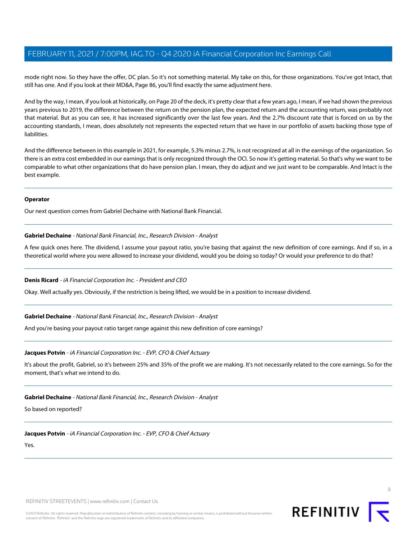mode right now. So they have the offer, DC plan. So it's not something material. My take on this, for those organizations. You've got Intact, that still has one. And if you look at their MD&A, Page 86, you'll find exactly the same adjustment here.

And by the way, I mean, if you look at historically, on Page 20 of the deck, it's pretty clear that a few years ago, I mean, if we had shown the previous years previous to 2019, the difference between the return on the pension plan, the expected return and the accounting return, was probably not that material. But as you can see, it has increased significantly over the last few years. And the 2.7% discount rate that is forced on us by the accounting standards, I mean, does absolutely not represents the expected return that we have in our portfolio of assets backing those type of liabilities.

And the difference between in this example in 2021, for example, 5.3% minus 2.7%, is not recognized at all in the earnings of the organization. So there is an extra cost embedded in our earnings that is only recognized through the OCI. So now it's getting material. So that's why we want to be comparable to what other organizations that do have pension plan. I mean, they do adjust and we just want to be comparable. And Intact is the best example.

#### **Operator**

<span id="page-7-0"></span>Our next question comes from Gabriel Dechaine with National Bank Financial.

#### **Gabriel Dechaine** - National Bank Financial, Inc., Research Division - Analyst

A few quick ones here. The dividend, I assume your payout ratio, you're basing that against the new definition of core earnings. And if so, in a theoretical world where you were allowed to increase your dividend, would you be doing so today? Or would your preference to do that?

## **Denis Ricard** - iA Financial Corporation Inc. - President and CEO

Okay. Well actually yes. Obviously, if the restriction is being lifted, we would be in a position to increase dividend.

**Gabriel Dechaine** - National Bank Financial, Inc., Research Division - Analyst

And you're basing your payout ratio target range against this new definition of core earnings?

## **Jacques Potvin** - iA Financial Corporation Inc. - EVP, CFO & Chief Actuary

It's about the profit, Gabriel, so it's between 25% and 35% of the profit we are making. It's not necessarily related to the core earnings. So for the moment, that's what we intend to do.

**Gabriel Dechaine** - National Bank Financial, Inc., Research Division - Analyst

So based on reported?

**Jacques Potvin** - iA Financial Corporation Inc. - EVP, CFO & Chief Actuary

Yes.

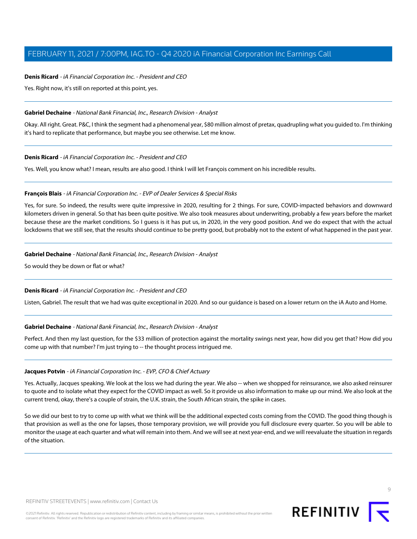## **Denis Ricard** - iA Financial Corporation Inc. - President and CEO

Yes. Right now, it's still on reported at this point, yes.

#### **Gabriel Dechaine** - National Bank Financial, Inc., Research Division - Analyst

Okay. All right. Great. P&C, I think the segment had a phenomenal year, \$80 million almost of pretax, quadrupling what you guided to. I'm thinking it's hard to replicate that performance, but maybe you see otherwise. Let me know.

#### **Denis Ricard** - iA Financial Corporation Inc. - President and CEO

<span id="page-8-0"></span>Yes. Well, you know what? I mean, results are also good. I think I will let François comment on his incredible results.

#### **François Blais** - iA Financial Corporation Inc. - EVP of Dealer Services & Special Risks

Yes, for sure. So indeed, the results were quite impressive in 2020, resulting for 2 things. For sure, COVID-impacted behaviors and downward kilometers driven in general. So that has been quite positive. We also took measures about underwriting, probably a few years before the market because these are the market conditions. So I guess is it has put us, in 2020, in the very good position. And we do expect that with the actual lockdowns that we still see, that the results should continue to be pretty good, but probably not to the extent of what happened in the past year.

#### **Gabriel Dechaine** - National Bank Financial, Inc., Research Division - Analyst

So would they be down or flat or what?

## **Denis Ricard** - iA Financial Corporation Inc. - President and CEO

Listen, Gabriel. The result that we had was quite exceptional in 2020. And so our guidance is based on a lower return on the iA Auto and Home.

#### **Gabriel Dechaine** - National Bank Financial, Inc., Research Division - Analyst

Perfect. And then my last question, for the \$33 million of protection against the mortality swings next year, how did you get that? How did you come up with that number? I'm just trying to -- the thought process intrigued me.

#### **Jacques Potvin** - iA Financial Corporation Inc. - EVP, CFO & Chief Actuary

Yes. Actually, Jacques speaking. We look at the loss we had during the year. We also -- when we shopped for reinsurance, we also asked reinsurer to quote and to isolate what they expect for the COVID impact as well. So it provide us also information to make up our mind. We also look at the current trend, okay, there's a couple of strain, the U.K. strain, the South African strain, the spike in cases.

So we did our best to try to come up with what we think will be the additional expected costs coming from the COVID. The good thing though is that provision as well as the one for lapses, those temporary provision, we will provide you full disclosure every quarter. So you will be able to monitor the usage at each quarter and what will remain into them. And we will see at next year-end, and we will reevaluate the situation in regards of the situation.

consent of Refinitiv. 'Refinitiv' and the Refinitiv logo are registered trademarks of Refinitiv and its affiliated companies.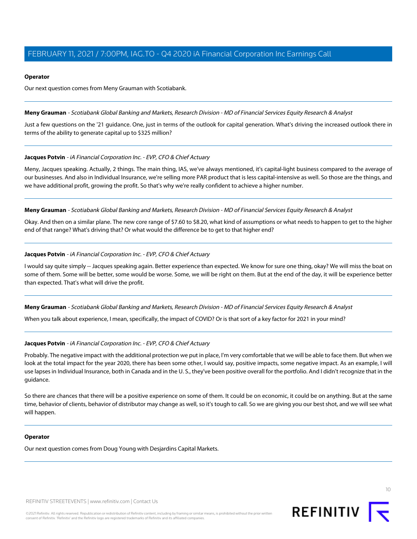## **Operator**

Our next question comes from Meny Grauman with Scotiabank.

<span id="page-9-0"></span>**Meny Grauman** - Scotiabank Global Banking and Markets, Research Division - MD of Financial Services Equity Research & Analyst

Just a few questions on the '21 guidance. One, just in terms of the outlook for capital generation. What's driving the increased outlook there in terms of the ability to generate capital up to \$325 million?

# **Jacques Potvin** - iA Financial Corporation Inc. - EVP, CFO & Chief Actuary

Meny, Jacques speaking. Actually, 2 things. The main thing, IAS, we've always mentioned, it's capital-light business compared to the average of our businesses. And also in Individual Insurance, we're selling more PAR product that is less capital-intensive as well. So those are the things, and we have additional profit, growing the profit. So that's why we're really confident to achieve a higher number.

**Meny Grauman** - Scotiabank Global Banking and Markets, Research Division - MD of Financial Services Equity Research & Analyst

Okay. And then on a similar plane. The new core range of \$7.60 to \$8.20, what kind of assumptions or what needs to happen to get to the higher end of that range? What's driving that? Or what would the difference be to get to that higher end?

# **Jacques Potvin** - iA Financial Corporation Inc. - EVP, CFO & Chief Actuary

I would say quite simply -- Jacques speaking again. Better experience than expected. We know for sure one thing, okay? We will miss the boat on some of them. Some will be better, some would be worse. Some, we will be right on them. But at the end of the day, it will be experience better than expected. That's what will drive the profit.

**Meny Grauman** - Scotiabank Global Banking and Markets, Research Division - MD of Financial Services Equity Research & Analyst

When you talk about experience, I mean, specifically, the impact of COVID? Or is that sort of a key factor for 2021 in your mind?

# **Jacques Potvin** - iA Financial Corporation Inc. - EVP, CFO & Chief Actuary

Probably. The negative impact with the additional protection we put in place, I'm very comfortable that we will be able to face them. But when we look at the total impact for the year 2020, there has been some other, I would say, positive impacts, some negative impact. As an example, I will use lapses in Individual Insurance, both in Canada and in the U. S., they've been positive overall for the portfolio. And I didn't recognize that in the guidance.

So there are chances that there will be a positive experience on some of them. It could be on economic, it could be on anything. But at the same time, behavior of clients, behavior of distributor may change as well, so it's tough to call. So we are giving you our best shot, and we will see what will happen.

# **Operator**

Our next question comes from Doug Young with Desjardins Capital Markets.

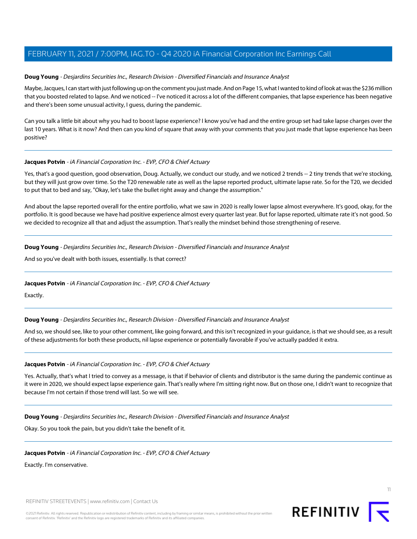## <span id="page-10-0"></span>**Doug Young** - Desjardins Securities Inc., Research Division - Diversified Financials and Insurance Analyst

Maybe, Jacques, I can start with just following up on the comment you just made. And on Page 15, what I wanted to kind of look at was the \$236 million that you boosted related to lapse. And we noticed -- I've noticed it across a lot of the different companies, that lapse experience has been negative and there's been some unusual activity, I guess, during the pandemic.

Can you talk a little bit about why you had to boost lapse experience? I know you've had and the entire group set had take lapse charges over the last 10 years. What is it now? And then can you kind of square that away with your comments that you just made that lapse experience has been positive?

## **Jacques Potvin** - iA Financial Corporation Inc. - EVP, CFO & Chief Actuary

Yes, that's a good question, good observation, Doug. Actually, we conduct our study, and we noticed 2 trends -- 2 tiny trends that we're stocking, but they will just grow over time. So the T20 renewable rate as well as the lapse reported product, ultimate lapse rate. So for the T20, we decided to put that to bed and say, "Okay, let's take the bullet right away and change the assumption."

And about the lapse reported overall for the entire portfolio, what we saw in 2020 is really lower lapse almost everywhere. It's good, okay, for the portfolio. It is good because we have had positive experience almost every quarter last year. But for lapse reported, ultimate rate it's not good. So we decided to recognize all that and adjust the assumption. That's really the mindset behind those strengthening of reserve.

**Doug Young** - Desjardins Securities Inc., Research Division - Diversified Financials and Insurance Analyst

And so you've dealt with both issues, essentially. Is that correct?

## **Jacques Potvin** - iA Financial Corporation Inc. - EVP, CFO & Chief Actuary

Exactly.

**Doug Young** - Desjardins Securities Inc., Research Division - Diversified Financials and Insurance Analyst

And so, we should see, like to your other comment, like going forward, and this isn't recognized in your guidance, is that we should see, as a result of these adjustments for both these products, nil lapse experience or potentially favorable if you've actually padded it extra.

## **Jacques Potvin** - iA Financial Corporation Inc. - EVP, CFO & Chief Actuary

Yes. Actually, that's what I tried to convey as a message, is that if behavior of clients and distributor is the same during the pandemic continue as it were in 2020, we should expect lapse experience gain. That's really where I'm sitting right now. But on those one, I didn't want to recognize that because I'm not certain if those trend will last. So we will see.

**Doug Young** - Desjardins Securities Inc., Research Division - Diversified Financials and Insurance Analyst

Okay. So you took the pain, but you didn't take the benefit of it.

**Jacques Potvin** - iA Financial Corporation Inc. - EVP, CFO & Chief Actuary

Exactly. I'm conservative.

REFINITIV STREETEVENTS | [www.refinitiv.com](https://www.refinitiv.com/) | [Contact Us](https://www.refinitiv.com/en/contact-us)

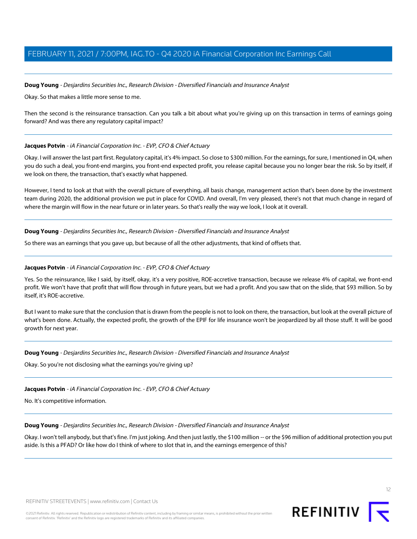#### **Doug Young** - Desjardins Securities Inc., Research Division - Diversified Financials and Insurance Analyst

Okay. So that makes a little more sense to me.

Then the second is the reinsurance transaction. Can you talk a bit about what you're giving up on this transaction in terms of earnings going forward? And was there any regulatory capital impact?

#### **Jacques Potvin** - iA Financial Corporation Inc. - EVP, CFO & Chief Actuary

Okay. I will answer the last part first. Regulatory capital, it's 4% impact. So close to \$300 million. For the earnings, for sure, I mentioned in Q4, when you do such a deal, you front-end margins, you front-end expected profit, you release capital because you no longer bear the risk. So by itself, if we look on there, the transaction, that's exactly what happened.

However, I tend to look at that with the overall picture of everything, all basis change, management action that's been done by the investment team during 2020, the additional provision we put in place for COVID. And overall, I'm very pleased, there's not that much change in regard of where the margin will flow in the near future or in later years. So that's really the way we look, I look at it overall.

**Doug Young** - Desjardins Securities Inc., Research Division - Diversified Financials and Insurance Analyst

So there was an earnings that you gave up, but because of all the other adjustments, that kind of offsets that.

#### **Jacques Potvin** - iA Financial Corporation Inc. - EVP, CFO & Chief Actuary

Yes. So the reinsurance, like I said, by itself, okay, it's a very positive, ROE-accretive transaction, because we release 4% of capital, we front-end profit. We won't have that profit that will flow through in future years, but we had a profit. And you saw that on the slide, that \$93 million. So by itself, it's ROE-accretive.

But I want to make sure that the conclusion that is drawn from the people is not to look on there, the transaction, but look at the overall picture of what's been done. Actually, the expected profit, the growth of the EPIF for life insurance won't be jeopardized by all those stuff. It will be good growth for next year.

#### **Doug Young** - Desjardins Securities Inc., Research Division - Diversified Financials and Insurance Analyst

Okay. So you're not disclosing what the earnings you're giving up?

#### **Jacques Potvin** - iA Financial Corporation Inc. - EVP, CFO & Chief Actuary

No. It's competitive information.

#### **Doug Young** - Desjardins Securities Inc., Research Division - Diversified Financials and Insurance Analyst

Okay. I won't tell anybody, but that's fine. I'm just joking. And then just lastly, the \$100 million -- or the \$96 million of additional protection you put aside. Is this a PFAD? Or like how do I think of where to slot that in, and the earnings emergence of this?



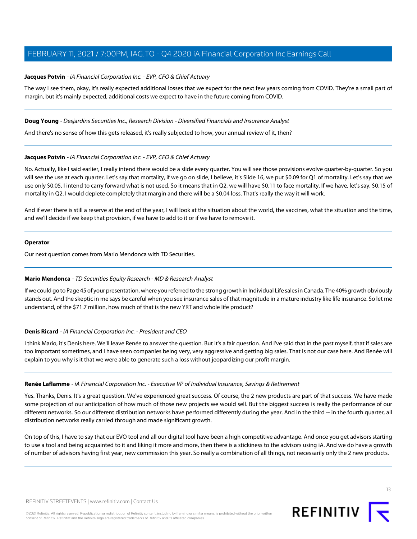# **Jacques Potvin** - iA Financial Corporation Inc. - EVP, CFO & Chief Actuary

The way I see them, okay, it's really expected additional losses that we expect for the next few years coming from COVID. They're a small part of margin, but it's mainly expected, additional costs we expect to have in the future coming from COVID.

## **Doug Young** - Desjardins Securities Inc., Research Division - Diversified Financials and Insurance Analyst

And there's no sense of how this gets released, it's really subjected to how, your annual review of it, then?

## **Jacques Potvin** - iA Financial Corporation Inc. - EVP, CFO & Chief Actuary

No. Actually, like I said earlier, I really intend there would be a slide every quarter. You will see those provisions evolve quarter-by-quarter. So you will see the use at each quarter. Let's say that mortality, if we go on slide, I believe, it's Slide 16, we put \$0.09 for Q1 of mortality. Let's say that we use only \$0.05, I intend to carry forward what is not used. So it means that in Q2, we will have \$0.11 to face mortality. If we have, let's say, \$0.15 of mortality in Q2. I would deplete completely that margin and there will be a \$0.04 loss. That's really the way it will work.

And if ever there is still a reserve at the end of the year, I will look at the situation about the world, the vaccines, what the situation and the time, and we'll decide if we keep that provision, if we have to add to it or if we have to remove it.

#### **Operator**

<span id="page-12-1"></span>Our next question comes from Mario Mendonca with TD Securities.

## **Mario Mendonca** - TD Securities Equity Research - MD & Research Analyst

If we could go to Page 45 of your presentation, where you referred to the strong growth in Individual Life sales in Canada. The 40% growth obviously stands out. And the skeptic in me says be careful when you see insurance sales of that magnitude in a mature industry like life insurance. So let me understand, of the \$71.7 million, how much of that is the new YRT and whole life product?

## **Denis Ricard** - iA Financial Corporation Inc. - President and CEO

<span id="page-12-0"></span>I think Mario, it's Denis here. We'll leave Renée to answer the question. But it's a fair question. And I've said that in the past myself, that if sales are too important sometimes, and I have seen companies being very, very aggressive and getting big sales. That is not our case here. And Renée will explain to you why is it that we were able to generate such a loss without jeopardizing our profit margin.

## **Renée Laflamme** - iA Financial Corporation Inc. - Executive VP of Individual Insurance, Savings & Retirement

Yes. Thanks, Denis. It's a great question. We've experienced great success. Of course, the 2 new products are part of that success. We have made some projection of our anticipation of how much of those new projects we would sell. But the biggest success is really the performance of our different networks. So our different distribution networks have performed differently during the year. And in the third -- in the fourth quarter, all distribution networks really carried through and made significant growth.

On top of this, I have to say that our EVO tool and all our digital tool have been a high competitive advantage. And once you get advisors starting to use a tool and being acquainted to it and liking it more and more, then there is a stickiness to the advisors using iA. And we do have a growth of number of advisors having first year, new commission this year. So really a combination of all things, not necessarily only the 2 new products.

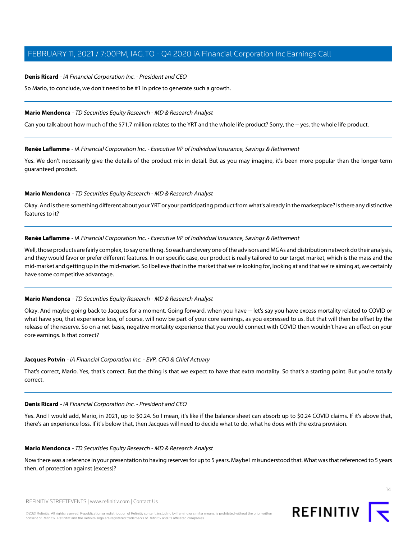#### **Denis Ricard** - iA Financial Corporation Inc. - President and CEO

So Mario, to conclude, we don't need to be #1 in price to generate such a growth.

#### **Mario Mendonca** - TD Securities Equity Research - MD & Research Analyst

Can you talk about how much of the \$71.7 million relates to the YRT and the whole life product? Sorry, the -- yes, the whole life product.

#### **Renée Laflamme** - iA Financial Corporation Inc. - Executive VP of Individual Insurance, Savings & Retirement

Yes. We don't necessarily give the details of the product mix in detail. But as you may imagine, it's been more popular than the longer-term guaranteed product.

#### **Mario Mendonca** - TD Securities Equity Research - MD & Research Analyst

Okay. And is there something different about your YRT or your participating product from what's already in the marketplace? Is there any distinctive features to it?

#### **Renée Laflamme** - iA Financial Corporation Inc. - Executive VP of Individual Insurance, Savings & Retirement

Well, those products are fairly complex, to say one thing. So each and every one of the advisors and MGAs and distribution network do their analysis, and they would favor or prefer different features. In our specific case, our product is really tailored to our target market, which is the mass and the mid-market and getting up in the mid-market. So I believe that in the market that we're looking for, looking at and that we're aiming at, we certainly have some competitive advantage.

## **Mario Mendonca** - TD Securities Equity Research - MD & Research Analyst

Okay. And maybe going back to Jacques for a moment. Going forward, when you have -- let's say you have excess mortality related to COVID or what have you, that experience loss, of course, will now be part of your core earnings, as you expressed to us. But that will then be offset by the release of the reserve. So on a net basis, negative mortality experience that you would connect with COVID then wouldn't have an effect on your core earnings. Is that correct?

## **Jacques Potvin** - iA Financial Corporation Inc. - EVP, CFO & Chief Actuary

That's correct, Mario. Yes, that's correct. But the thing is that we expect to have that extra mortality. So that's a starting point. But you're totally correct.

#### **Denis Ricard** - iA Financial Corporation Inc. - President and CEO

Yes. And I would add, Mario, in 2021, up to \$0.24. So I mean, it's like if the balance sheet can absorb up to \$0.24 COVID claims. If it's above that, there's an experience loss. If it's below that, then Jacques will need to decide what to do, what he does with the extra provision.

#### **Mario Mendonca** - TD Securities Equity Research - MD & Research Analyst

Now there was a reference in your presentation to having reserves for up to 5 years. Maybe I misunderstood that. What was that referenced to 5 years then, of protection against [excess]?

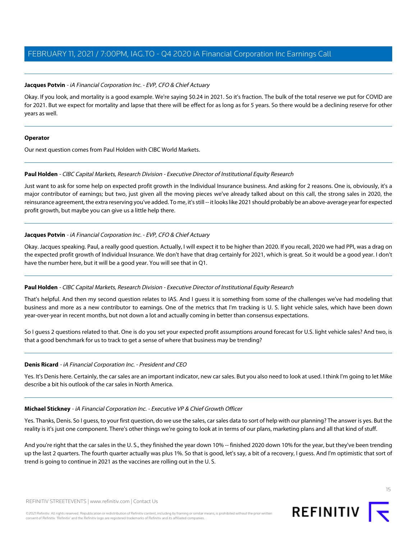## **Jacques Potvin** - iA Financial Corporation Inc. - EVP, CFO & Chief Actuary

Okay. If you look, and mortality is a good example. We're saying \$0.24 in 2021. So it's fraction. The bulk of the total reserve we put for COVID are for 2021. But we expect for mortality and lapse that there will be effect for as long as for 5 years. So there would be a declining reserve for other years as well.

#### **Operator**

<span id="page-14-0"></span>Our next question comes from Paul Holden with CIBC World Markets.

## **Paul Holden** - CIBC Capital Markets, Research Division - Executive Director of Institutional Equity Research

Just want to ask for some help on expected profit growth in the Individual Insurance business. And asking for 2 reasons. One is, obviously, it's a major contributor of earnings; but two, just given all the moving pieces we've already talked about on this call, the strong sales in 2020, the reinsurance agreement, the extra reserving you've added. To me, it's still -- it looks like 2021 should probably be an above-average year for expected profit growth, but maybe you can give us a little help there.

## **Jacques Potvin** - iA Financial Corporation Inc. - EVP, CFO & Chief Actuary

Okay. Jacques speaking. Paul, a really good question. Actually, I will expect it to be higher than 2020. If you recall, 2020 we had PPI, was a drag on the expected profit growth of Individual Insurance. We don't have that drag certainly for 2021, which is great. So it would be a good year. I don't have the number here, but it will be a good year. You will see that in Q1.

## **Paul Holden** - CIBC Capital Markets, Research Division - Executive Director of Institutional Equity Research

That's helpful. And then my second question relates to IAS. And I guess it is something from some of the challenges we've had modeling that business and more as a new contributor to earnings. One of the metrics that I'm tracking is U. S. light vehicle sales, which have been down year-over-year in recent months, but not down a lot and actually coming in better than consensus expectations.

So I guess 2 questions related to that. One is do you set your expected profit assumptions around forecast for U.S. light vehicle sales? And two, is that a good benchmark for us to track to get a sense of where that business may be trending?

## **Denis Ricard** - iA Financial Corporation Inc. - President and CEO

Yes. It's Denis here. Certainly, the car sales are an important indicator, new car sales. But you also need to look at used. I think I'm going to let Mike describe a bit his outlook of the car sales in North America.

## **Michael Stickney** - iA Financial Corporation Inc. - Executive VP & Chief Growth Officer

Yes. Thanks, Denis. So I guess, to your first question, do we use the sales, car sales data to sort of help with our planning? The answer is yes. But the reality is it's just one component. There's other things we're going to look at in terms of our plans, marketing plans and all that kind of stuff.

And you're right that the car sales in the U. S., they finished the year down 10% -- finished 2020 down 10% for the year, but they've been trending up the last 2 quarters. The fourth quarter actually was plus 1%. So that is good, let's say, a bit of a recovery, I guess. And I'm optimistic that sort of trend is going to continue in 2021 as the vaccines are rolling out in the U. S.

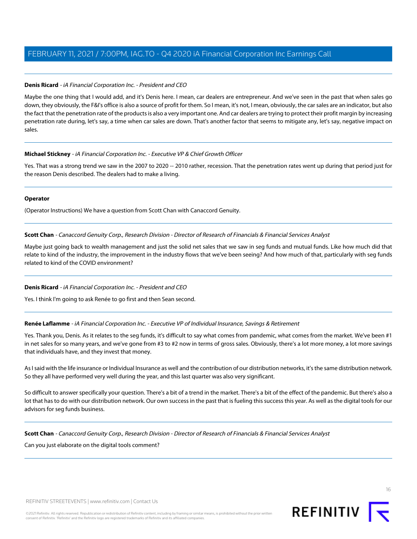# **Denis Ricard** - iA Financial Corporation Inc. - President and CEO

Maybe the one thing that I would add, and it's Denis here. I mean, car dealers are entrepreneur. And we've seen in the past that when sales go down, they obviously, the F&I's office is also a source of profit for them. So I mean, it's not, I mean, obviously, the car sales are an indicator, but also the fact that the penetration rate of the products is also a very important one. And car dealers are trying to protect their profit margin by increasing penetration rate during, let's say, a time when car sales are down. That's another factor that seems to mitigate any, let's say, negative impact on sales.

# **Michael Stickney** - iA Financial Corporation Inc. - Executive VP & Chief Growth Officer

Yes. That was a strong trend we saw in the 2007 to 2020 -- 2010 rather, recession. That the penetration rates went up during that period just for the reason Denis described. The dealers had to make a living.

## **Operator**

<span id="page-15-0"></span>(Operator Instructions) We have a question from Scott Chan with Canaccord Genuity.

**Scott Chan** - Canaccord Genuity Corp., Research Division - Director of Research of Financials & Financial Services Analyst

Maybe just going back to wealth management and just the solid net sales that we saw in seg funds and mutual funds. Like how much did that relate to kind of the industry, the improvement in the industry flows that we've been seeing? And how much of that, particularly with seg funds related to kind of the COVID environment?

# **Denis Ricard** - iA Financial Corporation Inc. - President and CEO

Yes. I think I'm going to ask Renée to go first and then Sean second.

# **Renée Laflamme** - iA Financial Corporation Inc. - Executive VP of Individual Insurance, Savings & Retirement

Yes. Thank you, Denis. As it relates to the seg funds, it's difficult to say what comes from pandemic, what comes from the market. We've been #1 in net sales for so many years, and we've gone from #3 to #2 now in terms of gross sales. Obviously, there's a lot more money, a lot more savings that individuals have, and they invest that money.

As I said with the life insurance or Individual Insurance as well and the contribution of our distribution networks, it's the same distribution network. So they all have performed very well during the year, and this last quarter was also very significant.

So difficult to answer specifically your question. There's a bit of a trend in the market. There's a bit of the effect of the pandemic. But there's also a lot that has to do with our distribution network. Our own success in the past that is fueling this success this year. As well as the digital tools for our advisors for seg funds business.

**Scott Chan** - Canaccord Genuity Corp., Research Division - Director of Research of Financials & Financial Services Analyst

Can you just elaborate on the digital tools comment?

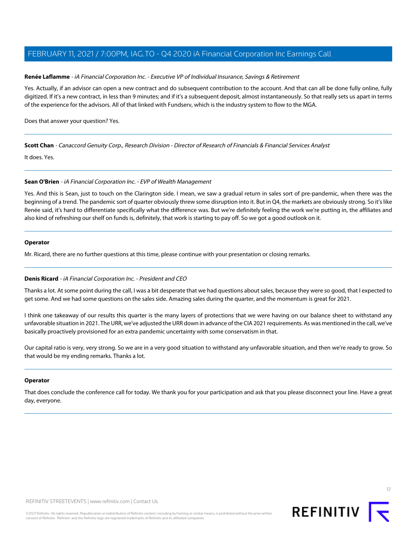#### **Renée Laflamme** - iA Financial Corporation Inc. - Executive VP of Individual Insurance, Savings & Retirement

Yes. Actually, if an advisor can open a new contract and do subsequent contribution to the account. And that can all be done fully online, fully digitized. If it's a new contract, in less than 9 minutes; and if it's a subsequent deposit, almost instantaneously. So that really sets us apart in terms of the experience for the advisors. All of that linked with Fundserv, which is the industry system to flow to the MGA.

Does that answer your question? Yes.

**Scott Chan** - Canaccord Genuity Corp., Research Division - Director of Research of Financials & Financial Services Analyst

<span id="page-16-0"></span>It does. Yes.

## **Sean O'Brien** - iA Financial Corporation Inc. - EVP of Wealth Management

Yes. And this is Sean, just to touch on the Clarington side. I mean, we saw a gradual return in sales sort of pre-pandemic, when there was the beginning of a trend. The pandemic sort of quarter obviously threw some disruption into it. But in Q4, the markets are obviously strong. So it's like Renée said, it's hard to differentiate specifically what the difference was. But we're definitely feeling the work we're putting in, the affiliates and also kind of refreshing our shelf on funds is, definitely, that work is starting to pay off. So we got a good outlook on it.

#### **Operator**

Mr. Ricard, there are no further questions at this time, please continue with your presentation or closing remarks.

## **Denis Ricard** - iA Financial Corporation Inc. - President and CEO

Thanks a lot. At some point during the call, I was a bit desperate that we had questions about sales, because they were so good, that I expected to get some. And we had some questions on the sales side. Amazing sales during the quarter, and the momentum is great for 2021.

I think one takeaway of our results this quarter is the many layers of protections that we were having on our balance sheet to withstand any unfavorable situation in 2021. The URR, we've adjusted the URR down in advance of the CIA 2021 requirements. As was mentioned in the call, we've basically proactively provisioned for an extra pandemic uncertainty with some conservatism in that.

Our capital ratio is very, very strong. So we are in a very good situation to withstand any unfavorable situation, and then we're ready to grow. So that would be my ending remarks. Thanks a lot.

## **Operator**

That does conclude the conference call for today. We thank you for your participation and ask that you please disconnect your line. Have a great day, everyone.